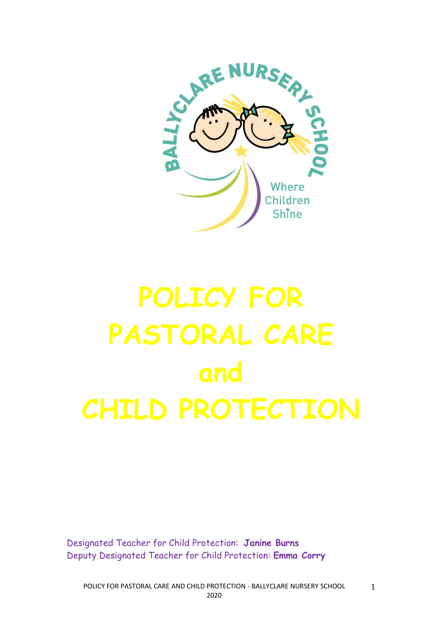

# **POLICY FOR PASTORAL CARE and CHILD PROTECTION**

Designated Teacher for Child Protection: **Janine Burns** Deputy Designated Teacher for Child Protection: **Emma Corry**

POLICY FOR PASTORAL CARE AND CHILD PROTECTION - BALLYCLARE NURSERY SCHOOL 2020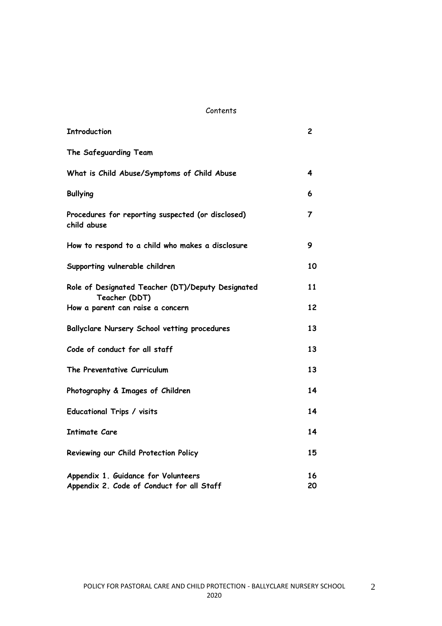#### Contents

| <b>Introduction</b>                                                              | 2        |
|----------------------------------------------------------------------------------|----------|
| The Safeguarding Team                                                            |          |
| What is Child Abuse/Symptoms of Child Abuse                                      | 4        |
| <b>Bullying</b>                                                                  | 6        |
| Procedures for reporting suspected (or disclosed)<br>child abuse                 | 7        |
| How to respond to a child who makes a disclosure                                 | 9        |
| Supporting vulnerable children                                                   | 10       |
| Role of Designated Teacher (DT)/Deputy Designated<br>Teacher (DDT)               | 11       |
| How a parent can raise a concern                                                 | 12       |
| Ballyclare Nursery School vetting procedures                                     | 13       |
| Code of conduct for all staff                                                    | 13       |
| The Preventative Curriculum                                                      | 13       |
| Photography & Images of Children                                                 | 14       |
| Educational Trips / visits                                                       | 14       |
| <b>Intimate Care</b>                                                             | 14       |
| Reviewing our Child Protection Policy                                            | 15       |
| Appendix 1. Guidance for Volunteers<br>Appendix 2. Code of Conduct for all Staff | 16<br>20 |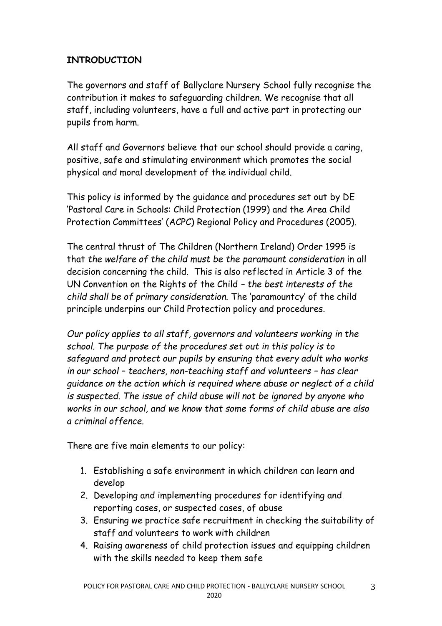# **INTRODUCTION**

The governors and staff of Ballyclare Nursery School fully recognise the contribution it makes to safeguarding children. We recognise that all staff, including volunteers, have a full and active part in protecting our pupils from harm.

All staff and Governors believe that our school should provide a caring, positive, safe and stimulating environment which promotes the social physical and moral development of the individual child.

This policy is informed by the guidance and procedures set out by DE 'Pastoral Care in Schools: Child Protection (1999) and the Area Child Protection Committees' (ACPC) Regional Policy and Procedures (2005).

The central thrust of The Children (Northern Ireland) Order 1995 is that *the welfare of the child must be the paramount consideration* in all decision concerning the child.This is also reflected in Article 3 of the UN Convention on the Rights of the Child *– the best interests of the child shall be of primary consideration.* The 'paramountcy' of the child principle underpins our Child Protection policy and procedures.

*Our policy applies to all staff, governors and volunteers working in the school. The purpose of the procedures set out in this policy is to safeguard and protect our pupils by ensuring that every adult who works in our school – teachers, non-teaching staff and volunteers – has clear guidance on the action which is required where abuse or neglect of a child is suspected. The issue of child abuse will not be ignored by anyone who works in our school, and we know that some forms of child abuse are also a criminal offence.*

There are five main elements to our policy:

- 1. Establishing a safe environment in which children can learn and develop
- 2. Developing and implementing procedures for identifying and reporting cases, or suspected cases, of abuse
- 3. Ensuring we practice safe recruitment in checking the suitability of staff and volunteers to work with children
- 4. Raising awareness of child protection issues and equipping children with the skills needed to keep them safe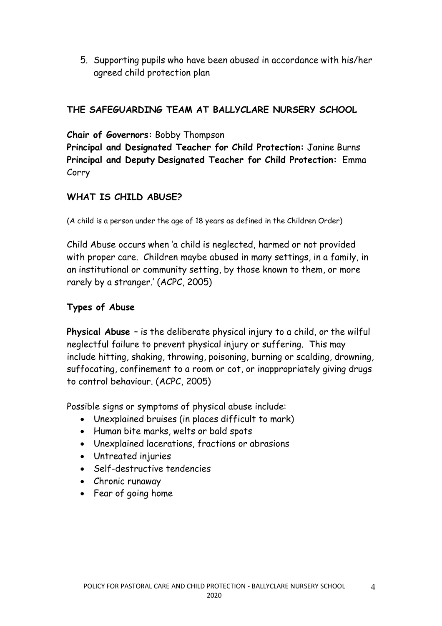5. Supporting pupils who have been abused in accordance with his/her agreed child protection plan

## **THE SAFEGUARDING TEAM AT BALLYCLARE NURSERY SCHOOL**

**Chair of Governors:** Bobby Thompson

**Principal and Designated Teacher for Child Protection:** Janine Burns **Principal and Deputy Designated Teacher for Child Protection:** Emma Corry

# **WHAT IS CHILD ABUSE?**

(A child is a person under the age of 18 years as defined in the Children Order)

Child Abuse occurs when 'a child is neglected, harmed or not provided with proper care. Children maybe abused in many settings, in a family, in an institutional or community setting, by those known to them, or more rarely by a stranger.' (ACPC, 2005)

#### **Types of Abuse**

**Physical Abuse** – is the deliberate physical injury to a child, or the wilful neglectful failure to prevent physical injury or suffering. This may include hitting, shaking, throwing, poisoning, burning or scalding, drowning, suffocating, confinement to a room or cot, or inappropriately giving drugs to control behaviour. (ACPC, 2005)

Possible signs or symptoms of physical abuse include:

- Unexplained bruises (in places difficult to mark)
- Human bite marks, welts or bald spots
- Unexplained lacerations, fractions or abrasions
- Untreated injuries
- Self-destructive tendencies
- Chronic runaway
- Fear of going home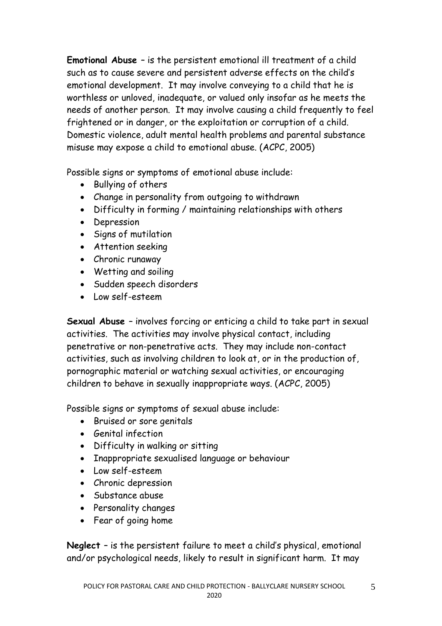**Emotional Abuse** – is the persistent emotional ill treatment of a child such as to cause severe and persistent adverse effects on the child's emotional development. It may involve conveying to a child that he is worthless or unloved, inadequate, or valued only insofar as he meets the needs of another person. It may involve causing a child frequently to feel frightened or in danger, or the exploitation or corruption of a child. Domestic violence, adult mental health problems and parental substance misuse may expose a child to emotional abuse. (ACPC, 2005)

Possible signs or symptoms of emotional abuse include:

- Bullying of others
- Change in personality from outgoing to withdrawn
- Difficulty in forming / maintaining relationships with others
- Depression
- Signs of mutilation
- Attention seeking
- Chronic runaway
- Wetting and soiling
- Sudden speech disorders
- Low self-esteem

**Sexual Abuse** – involves forcing or enticing a child to take part in sexual activities. The activities may involve physical contact, including penetrative or non-penetrative acts. They may include non-contact activities, such as involving children to look at, or in the production of, pornographic material or watching sexual activities, or encouraging children to behave in sexually inappropriate ways. (ACPC, 2005)

Possible signs or symptoms of sexual abuse include:

- Bruised or sore genitals
- Genital infection
- Difficulty in walking or sitting
- Inappropriate sexualised language or behaviour
- Low self-esteem
- Chronic depression
- Substance abuse
- Personality changes
- Fear of going home

**Neglect** – is the persistent failure to meet a child's physical, emotional and/or psychological needs, likely to result in significant harm. It may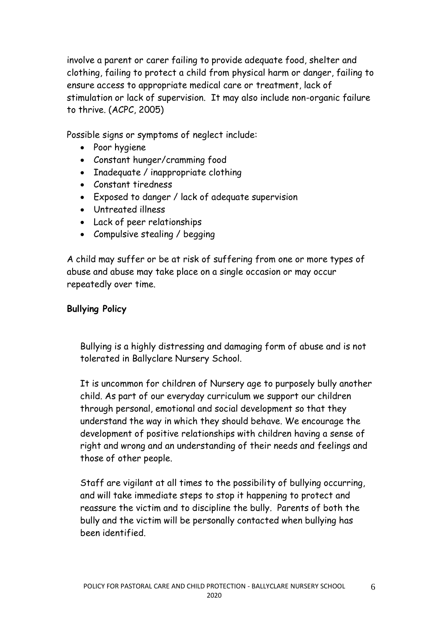involve a parent or carer failing to provide adequate food, shelter and clothing, failing to protect a child from physical harm or danger, failing to ensure access to appropriate medical care or treatment, lack of stimulation or lack of supervision. It may also include non-organic failure to thrive. (ACPC, 2005)

Possible signs or symptoms of neglect include:

- Poor hygiene
- Constant hunger/cramming food
- Inadequate / inappropriate clothing
- Constant tiredness
- Exposed to danger / lack of adequate supervision
- Untreated illness
- Lack of peer relationships
- Compulsive stealing / begging

A child may suffer or be at risk of suffering from one or more types of abuse and abuse may take place on a single occasion or may occur repeatedly over time.

# **Bullying Policy**

Bullying is a highly distressing and damaging form of abuse and is not tolerated in Ballyclare Nursery School.

It is uncommon for children of Nursery age to purposely bully another child. As part of our everyday curriculum we support our children through personal, emotional and social development so that they understand the way in which they should behave. We encourage the development of positive relationships with children having a sense of right and wrong and an understanding of their needs and feelings and those of other people.

Staff are vigilant at all times to the possibility of bullying occurring, and will take immediate steps to stop it happening to protect and reassure the victim and to discipline the bully. Parents of both the bully and the victim will be personally contacted when bullying has been identified.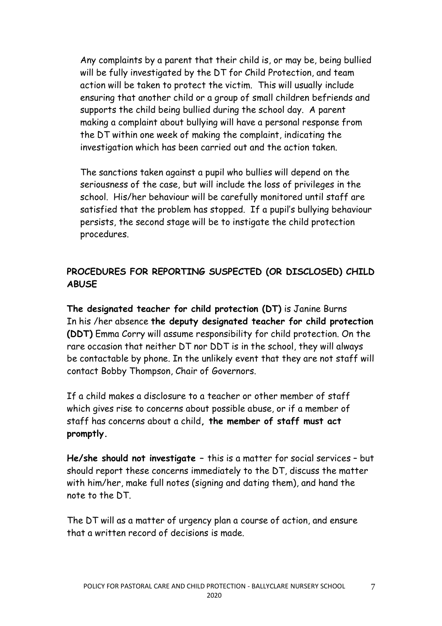Any complaints by a parent that their child is, or may be, being bullied will be fully investigated by the DT for Child Protection, and team action will be taken to protect the victim. This will usually include ensuring that another child or a group of small children befriends and supports the child being bullied during the school day. A parent making a complaint about bullying will have a personal response from the DT within one week of making the complaint, indicating the investigation which has been carried out and the action taken.

The sanctions taken against a pupil who bullies will depend on the seriousness of the case, but will include the loss of privileges in the school. His/her behaviour will be carefully monitored until staff are satisfied that the problem has stopped. If a pupil's bullying behaviour persists, the second stage will be to instigate the child protection procedures.

# **PROCEDURES FOR REPORTING SUSPECTED (OR DISCLOSED) CHILD ABUSE**

**The designated teacher for child protection (DT)** is Janine Burns In his /her absence **the deputy designated teacher for child protection (DDT)** Emma Corry will assume responsibility for child protection. On the rare occasion that neither DT nor DDT is in the school, they will always be contactable by phone. In the unlikely event that they are not staff will contact Bobby Thompson, Chair of Governors.

If a child makes a disclosure to a teacher or other member of staff which gives rise to concerns about possible abuse, or if a member of staff has concerns about a child**, the member of staff must act promptly.**

**He/she should not investigate –** this is a matter for social services – but should report these concerns immediately to the DT, discuss the matter with him/her, make full notes (signing and dating them), and hand the note to the DT.

The DT will as a matter of urgency plan a course of action, and ensure that a written record of decisions is made.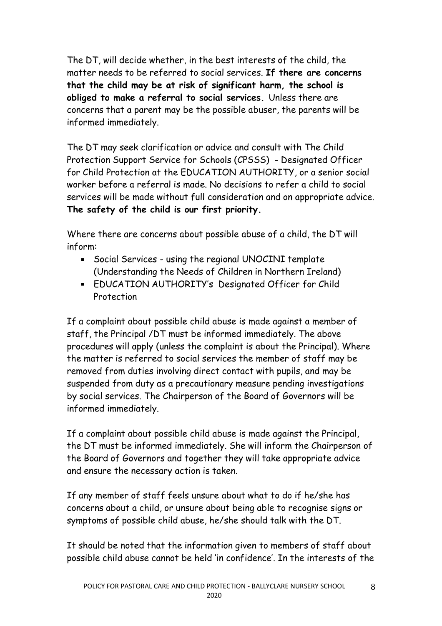The DT, will decide whether, in the best interests of the child, the matter needs to be referred to social services. **If there are concerns that the child may be at risk of significant harm, the school is obliged to make a referral to social services.** Unless there are concerns that a parent may be the possible abuser, the parents will be informed immediately.

The DT may seek clarification or advice and consult with The Child Protection Support Service for Schools (CPSSS) - Designated Officer for Child Protection at the EDUCATION AUTHORITY, or a senior social worker before a referral is made. No decisions to refer a child to social services will be made without full consideration and on appropriate advice. **The safety of the child is our first priority.**

Where there are concerns about possible abuse of a child, the DT will inform:

- Social Services using the regional UNOCINI template (Understanding the Needs of Children in Northern Ireland)
- EDUCATION AUTHORITY's Designated Officer for Child Protection

If a complaint about possible child abuse is made against a member of staff, the Principal /DT must be informed immediately. The above procedures will apply (unless the complaint is about the Principal). Where the matter is referred to social services the member of staff may be removed from duties involving direct contact with pupils, and may be suspended from duty as a precautionary measure pending investigations by social services. The Chairperson of the Board of Governors will be informed immediately.

If a complaint about possible child abuse is made against the Principal, the DT must be informed immediately. She will inform the Chairperson of the Board of Governors and together they will take appropriate advice and ensure the necessary action is taken.

If any member of staff feels unsure about what to do if he/she has concerns about a child, or unsure about being able to recognise signs or symptoms of possible child abuse, he/she should talk with the DT.

It should be noted that the information given to members of staff about possible child abuse cannot be held 'in confidence'. In the interests of the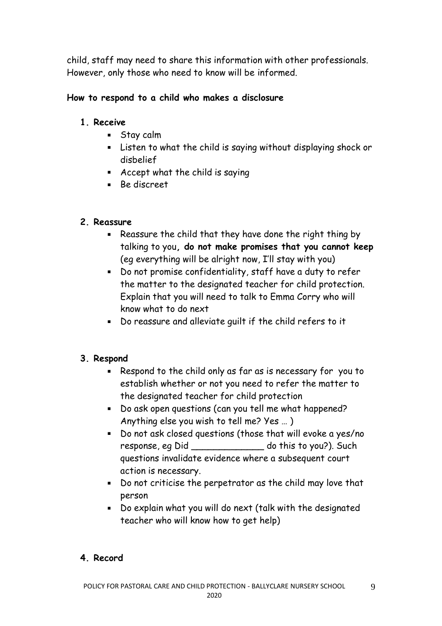child, staff may need to share this information with other professionals. However, only those who need to know will be informed.

# **How to respond to a child who makes a disclosure**

#### **1. Receive**

- Stay calm
- Listen to what the child is saying without displaying shock or disbelief
- Accept what the child is saying
- Be discreet

#### **2. Reassure**

- Reassure the child that they have done the right thing by talking to you**, do not make promises that you cannot keep**  (eg everything will be alright now, I'll stay with you)
- Do not promise confidentiality, staff have a duty to refer the matter to the designated teacher for child protection. Explain that you will need to talk to Emma Corry who will know what to do next
- Do reassure and alleviate guilt if the child refers to it

# **3. Respond**

- Respond to the child only as far as is necessary for you to establish whether or not you need to refer the matter to the designated teacher for child protection
- Do ask open questions (can you tell me what happened? Anything else you wish to tell me? Yes … )
- Do not ask closed questions (those that will evoke a yes/no response, eg Did do this to you?). Such questions invalidate evidence where a subsequent court action is necessary.
- Do not criticise the perpetrator as the child may love that person
- Do explain what you will do next (talk with the designated teacher who will know how to get help)

9

# **4. Record**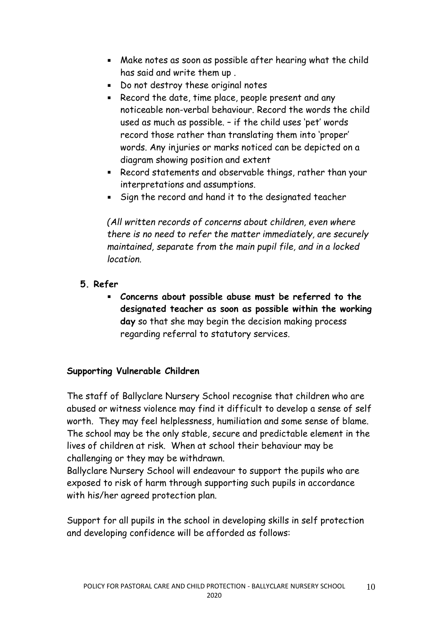- Make notes as soon as possible after hearing what the child has said and write them up .
- Do not destroy these original notes
- Record the date, time place, people present and any noticeable non-verbal behaviour. Record the words the child used as much as possible. – if the child uses 'pet' words record those rather than translating them into 'proper' words. Any injuries or marks noticed can be depicted on a diagram showing position and extent
- Record statements and observable things, rather than your interpretations and assumptions.
- Sign the record and hand it to the designated teacher

*(All written records of concerns about children, even where there is no need to refer the matter immediately, are securely maintained, separate from the main pupil file, and in a locked location.* 

- **5. Refer**
	- **Concerns about possible abuse must be referred to the designated teacher as soon as possible within the working day** so that she may begin the decision making process regarding referral to statutory services.

# **Supporting Vulnerable Children**

The staff of Ballyclare Nursery School recognise that children who are abused or witness violence may find it difficult to develop a sense of self worth. They may feel helplessness, humiliation and some sense of blame. The school may be the only stable, secure and predictable element in the lives of children at risk. When at school their behaviour may be challenging or they may be withdrawn.

Ballyclare Nursery School will endeavour to support the pupils who are exposed to risk of harm through supporting such pupils in accordance with his/her agreed protection plan.

Support for all pupils in the school in developing skills in self protection and developing confidence will be afforded as follows: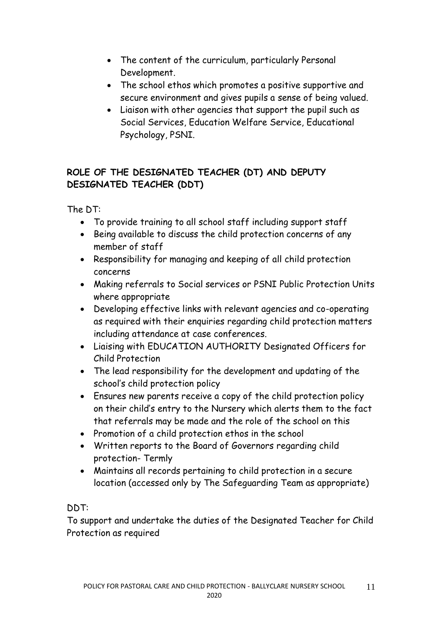- The content of the curriculum, particularly Personal Development.
- The school ethos which promotes a positive supportive and secure environment and gives pupils a sense of being valued.
- Liaison with other agencies that support the pupil such as Social Services, Education Welfare Service, Educational Psychology, PSNI.

# **ROLE OF THE DESIGNATED TEACHER (DT) AND DEPUTY DESIGNATED TEACHER (DDT)**

The DT:

- To provide training to all school staff including support staff
- Being available to discuss the child protection concerns of any member of staff
- Responsibility for managing and keeping of all child protection concerns
- Making referrals to Social services or PSNI Public Protection Units where appropriate
- Developing effective links with relevant agencies and co-operating as required with their enquiries regarding child protection matters including attendance at case conferences.
- Liaising with EDUCATION AUTHORITY Designated Officers for Child Protection
- The lead responsibility for the development and updating of the school's child protection policy
- Ensures new parents receive a copy of the child protection policy on their child's entry to the Nursery which alerts them to the fact that referrals may be made and the role of the school on this
- Promotion of a child protection ethos in the school
- Written reports to the Board of Governors regarding child protection- Termly
- Maintains all records pertaining to child protection in a secure location (accessed only by The Safeguarding Team as appropriate)

# DDT:

To support and undertake the duties of the Designated Teacher for Child Protection as required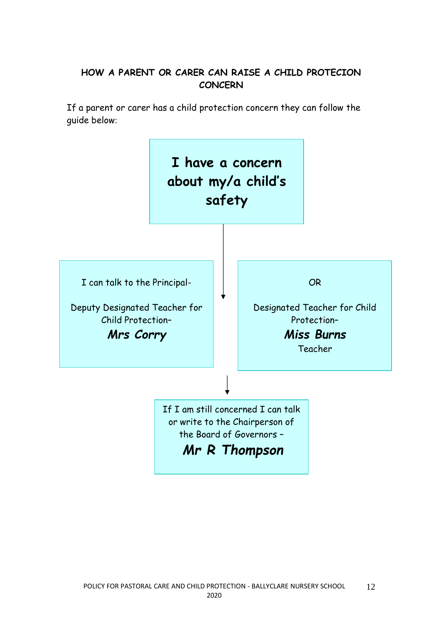# **HOW A PARENT OR CARER CAN RAISE A CHILD PROTECION CONCERN**

If a parent or carer has a child protection concern they can follow the guide below:

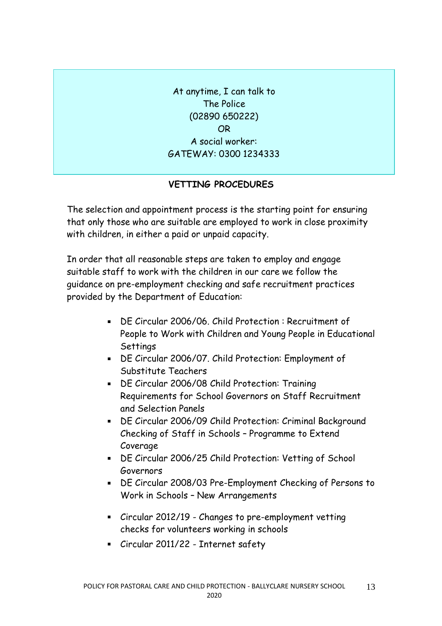At anytime, I can talk to The Police (02890 650222) OR A social worker: GATEWAY: 0300 1234333

#### **VETTING PROCEDURES**

The selection and appointment process is the starting point for ensuring that only those who are suitable are employed to work in close proximity with children, in either a paid or unpaid capacity.

In order that all reasonable steps are taken to employ and engage suitable staff to work with the children in our care we follow the guidance on pre-employment checking and safe recruitment practices provided by the Department of Education:

- DE Circular 2006/06. Child Protection : Recruitment of People to Work with Children and Young People in Educational **Settings**
- DE Circular 2006/07. Child Protection: Employment of Substitute Teachers
- DE Circular 2006/08 Child Protection: Training Requirements for School Governors on Staff Recruitment and Selection Panels
- DE Circular 2006/09 Child Protection: Criminal Background Checking of Staff in Schools – Programme to Extend Coverage
- DE Circular 2006/25 Child Protection: Vetting of School Governors
- DE Circular 2008/03 Pre-Employment Checking of Persons to Work in Schools – New Arrangements
- Circular 2012/19 Changes to pre-employment vetting checks for volunteers working in schools
- [Circular 2011/22 -](https://www.education-ni.gov.uk/publications/circular-201122-internet-safety) Internet safety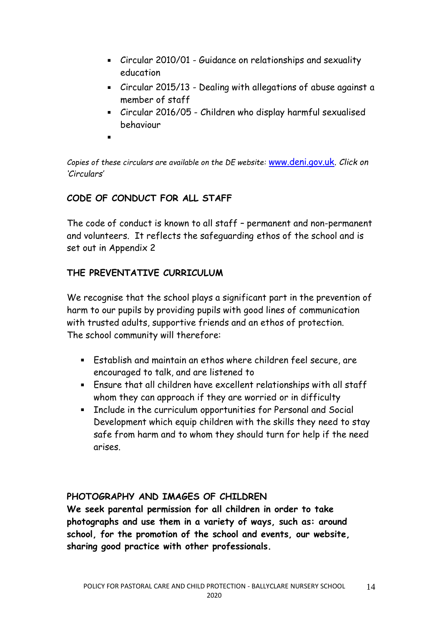- Circular 2010/01 Guidance on relationships and sexuality education
- Circular 2015/13 Dealing with allegations of abuse against a member of staff
- Circular 2016/05 [Children who display harmful sexualised](https://www.education-ni.gov.uk/publications/circular-201605-children-who-display-harmful-sexualised-behaviour)  [behaviour](https://www.education-ni.gov.uk/publications/circular-201605-children-who-display-harmful-sexualised-behaviour)
- 

*Copies of these circulars are available on the DE website:* [www.deni.gov.uk.](http://www.deni.gov.uk/) *Click on 'Circulars'*

# **CODE OF CONDUCT FOR ALL STAFF**

The code of conduct is known to all staff – permanent and non-permanent and volunteers. It reflects the safeguarding ethos of the school and is set out in Appendix 2

# **THE PREVENTATIVE CURRICULUM**

We recognise that the school plays a significant part in the prevention of harm to our pupils by providing pupils with good lines of communication with trusted adults, supportive friends and an ethos of protection. The school community will therefore:

- Establish and maintain an ethos where children feel secure, are encouraged to talk, and are listened to
- Ensure that all children have excellent relationships with all staff whom they can approach if they are worried or in difficulty
- Include in the curriculum opportunities for Personal and Social Development which equip children with the skills they need to stay safe from harm and to whom they should turn for help if the need arises.

# **PHOTOGRAPHY AND IMAGES OF CHILDREN**

**We seek parental permission for all children in order to take photographs and use them in a variety of ways, such as: around school, for the promotion of the school and events, our website, sharing good practice with other professionals.**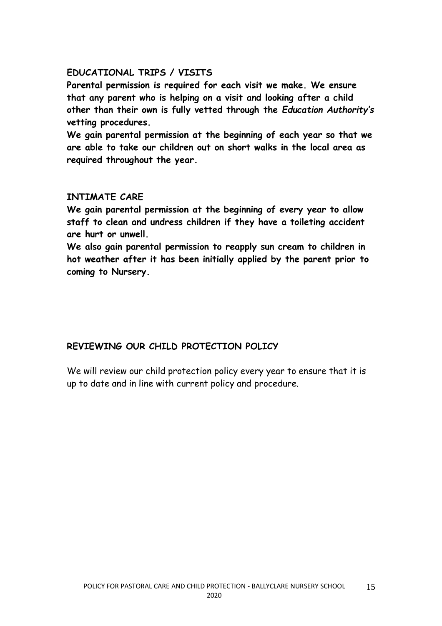#### **EDUCATIONAL TRIPS / VISITS**

**Parental permission is required for each visit we make. We ensure that any parent who is helping on a visit and looking after a child other than their own is fully vetted through the** *Education Authority's* **vetting procedures.**

**We gain parental permission at the beginning of each year so that we are able to take our children out on short walks in the local area as required throughout the year.**

#### **INTIMATE CARE**

**We gain parental permission at the beginning of every year to allow staff to clean and undress children if they have a toileting accident are hurt or unwell.**

**We also gain parental permission to reapply sun cream to children in hot weather after it has been initially applied by the parent prior to coming to Nursery.**

# **REVIEWING OUR CHILD PROTECTION POLICY**

We will review our child protection policy every year to ensure that it is up to date and in line with current policy and procedure.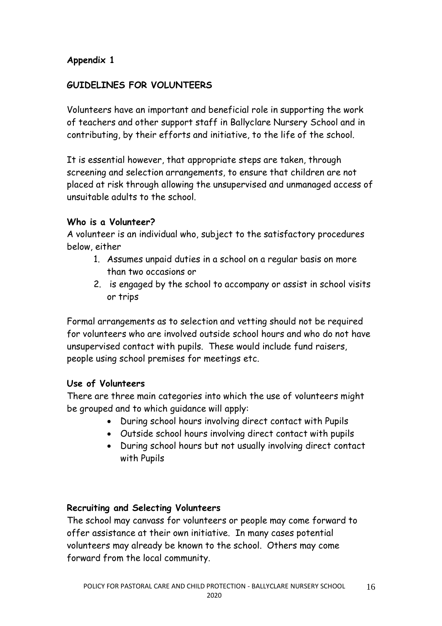# **Appendix 1**

## **GUIDELINES FOR VOLUNTEERS**

Volunteers have an important and beneficial role in supporting the work of teachers and other support staff in Ballyclare Nursery School and in contributing, by their efforts and initiative, to the life of the school.

It is essential however, that appropriate steps are taken, through screening and selection arrangements, to ensure that children are not placed at risk through allowing the unsupervised and unmanaged access of unsuitable adults to the school.

#### **Who is a Volunteer?**

A volunteer is an individual who, subject to the satisfactory procedures below, either

- 1. Assumes unpaid duties in a school on a regular basis on more than two occasions or
- 2. is engaged by the school to accompany or assist in school visits or trips

Formal arrangements as to selection and vetting should not be required for volunteers who are involved outside school hours and who do not have unsupervised contact with pupils. These would include fund raisers, people using school premises for meetings etc.

#### **Use of Volunteers**

There are three main categories into which the use of volunteers might be grouped and to which guidance will apply:

- During school hours involving direct contact with Pupils
- Outside school hours involving direct contact with pupils
- During school hours but not usually involving direct contact with Pupils

#### **Recruiting and Selecting Volunteers**

The school may canvass for volunteers or people may come forward to offer assistance at their own initiative. In many cases potential volunteers may already be known to the school. Others may come forward from the local community.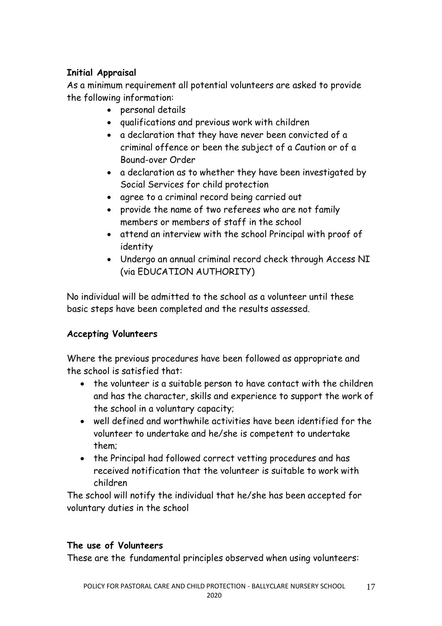# **Initial Appraisal**

As a minimum requirement all potential volunteers are asked to provide the following information:

- personal details
- qualifications and previous work with children
- a declaration that they have never been convicted of a criminal offence or been the subject of a Caution or of a Bound-over Order
- a declaration as to whether they have been investigated by Social Services for child protection
- agree to a criminal record being carried out
- provide the name of two referees who are not family members or members of staff in the school
- attend an interview with the school Principal with proof of identity
- Undergo an annual criminal record check through Access NI (via EDUCATION AUTHORITY)

No individual will be admitted to the school as a volunteer until these basic steps have been completed and the results assessed.

# **Accepting Volunteers**

Where the previous procedures have been followed as appropriate and the school is satisfied that:

- the volunteer is a suitable person to have contact with the children and has the character, skills and experience to support the work of the school in a voluntary capacity;
- well defined and worthwhile activities have been identified for the volunteer to undertake and he/she is competent to undertake them;
- the Principal had followed correct vetting procedures and has received notification that the volunteer is suitable to work with children

The school will notify the individual that he/she has been accepted for voluntary duties in the school

# **The use of Volunteers**

These are the fundamental principles observed when using volunteers: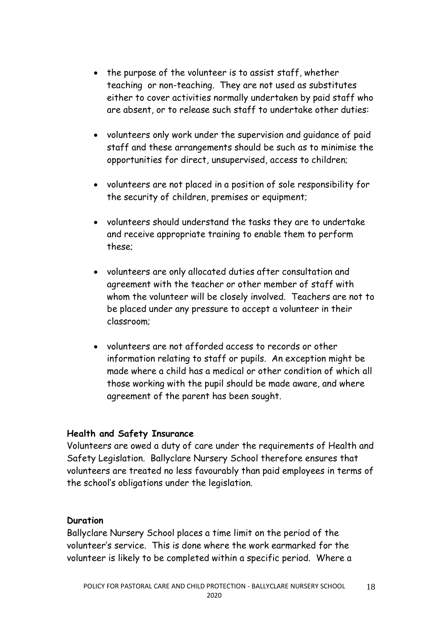- the purpose of the volunteer is to assist staff, whether teaching or non-teaching. They are not used as substitutes either to cover activities normally undertaken by paid staff who are absent, or to release such staff to undertake other duties:
- volunteers only work under the supervision and guidance of paid staff and these arrangements should be such as to minimise the opportunities for direct, unsupervised, access to children;
- volunteers are not placed in a position of sole responsibility for the security of children, premises or equipment;
- volunteers should understand the tasks they are to undertake and receive appropriate training to enable them to perform these;
- volunteers are only allocated duties after consultation and agreement with the teacher or other member of staff with whom the volunteer will be closely involved. Teachers are not to be placed under any pressure to accept a volunteer in their classroom;
- volunteers are not afforded access to records or other information relating to staff or pupils. An exception might be made where a child has a medical or other condition of which all those working with the pupil should be made aware, and where agreement of the parent has been sought.

#### **Health and Safety Insurance**

Volunteers are owed a duty of care under the requirements of Health and Safety Legislation. Ballyclare Nursery School therefore ensures that volunteers are treated no less favourably than paid employees in terms of the school's obligations under the legislation.

#### **Duration**

Ballyclare Nursery School places a time limit on the period of the volunteer's service. This is done where the work earmarked for the volunteer is likely to be completed within a specific period. Where a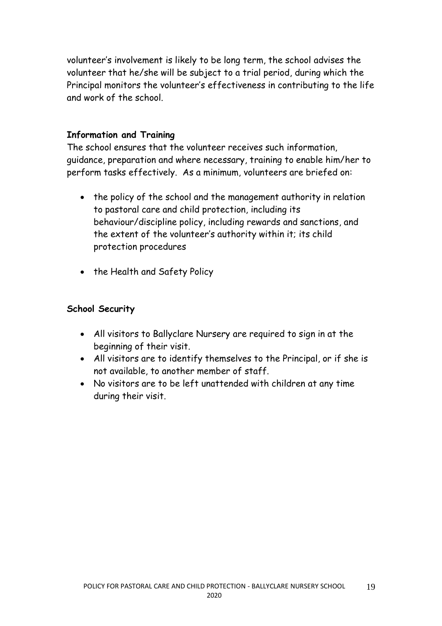volunteer's involvement is likely to be long term, the school advises the volunteer that he/she will be subject to a trial period, during which the Principal monitors the volunteer's effectiveness in contributing to the life and work of the school.

#### **Information and Training**

The school ensures that the volunteer receives such information, guidance, preparation and where necessary, training to enable him/her to perform tasks effectively. As a minimum, volunteers are briefed on:

- the policy of the school and the management authority in relation to pastoral care and child protection, including its behaviour/discipline policy, including rewards and sanctions, and the extent of the volunteer's authority within it; its child protection procedures
- the Health and Safety Policy

# **School Security**

- All visitors to Ballyclare Nursery are required to sign in at the beginning of their visit.
- All visitors are to identify themselves to the Principal, or if she is not available, to another member of staff.
- No visitors are to be left unattended with children at any time during their visit.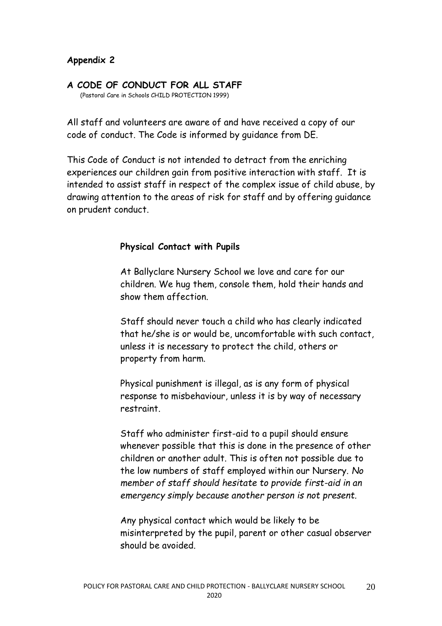#### **Appendix 2**

#### **A CODE OF CONDUCT FOR ALL STAFF**

(Pastoral Care in Schools CHILD PROTECTION 1999)

All staff and volunteers are aware of and have received a copy of our code of conduct. The Code is informed by guidance from DE.

This Code of Conduct is not intended to detract from the enriching experiences our children gain from positive interaction with staff. It is intended to assist staff in respect of the complex issue of child abuse, by drawing attention to the areas of risk for staff and by offering guidance on prudent conduct.

#### **Physical Contact with Pupils**

At Ballyclare Nursery School we love and care for our children. We hug them, console them, hold their hands and show them affection.

Staff should never touch a child who has clearly indicated that he/she is or would be, uncomfortable with such contact, unless it is necessary to protect the child, others or property from harm.

Physical punishment is illegal, as is any form of physical response to misbehaviour, unless it is by way of necessary restraint.

Staff who administer first-aid to a pupil should ensure whenever possible that this is done in the presence of other children or another adult. This is often not possible due to the low numbers of staff employed within our Nursery. *No member of staff should hesitate to provide first-aid in an emergency simply because another person is not present.*

Any physical contact which would be likely to be misinterpreted by the pupil, parent or other casual observer should be avoided.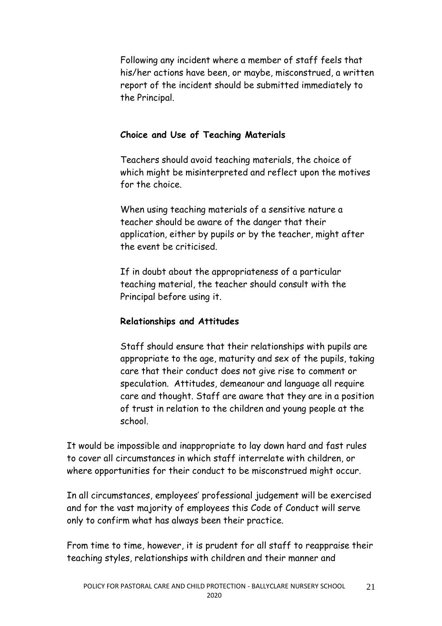Following any incident where a member of staff feels that his/her actions have been, or maybe, misconstrued, a written report of the incident should be submitted immediately to the Principal.

# **Choice and Use of Teaching Materials**

Teachers should avoid teaching materials, the choice of which might be misinterpreted and reflect upon the motives for the choice.

When using teaching materials of a sensitive nature a teacher should be aware of the danger that their application, either by pupils or by the teacher, might after the event be criticised.

If in doubt about the appropriateness of a particular teaching material, the teacher should consult with the Principal before using it.

#### **Relationships and Attitudes**

Staff should ensure that their relationships with pupils are appropriate to the age, maturity and sex of the pupils, taking care that their conduct does not give rise to comment or speculation. Attitudes, demeanour and language all require care and thought. Staff are aware that they are in a position of trust in relation to the children and young people at the school.

It would be impossible and inappropriate to lay down hard and fast rules to cover all circumstances in which staff interrelate with children, or where opportunities for their conduct to be misconstrued might occur.

In all circumstances, employees' professional judgement will be exercised and for the vast majority of employees this Code of Conduct will serve only to confirm what has always been their practice.

From time to time, however, it is prudent for all staff to reappraise their teaching styles, relationships with children and their manner and